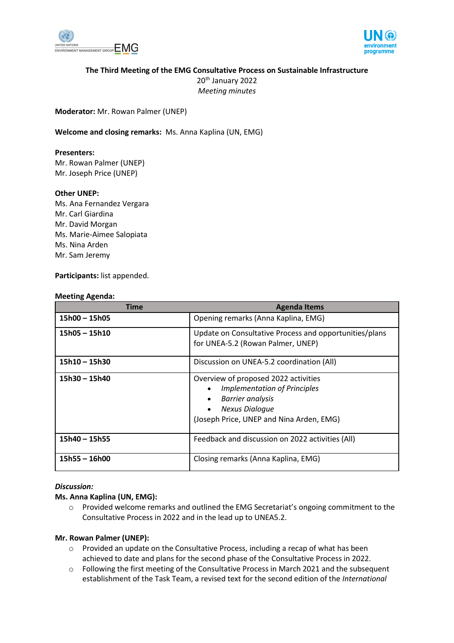



## **The Third Meeting of the EMG Consultative Process on Sustainable Infrastructure**

20<sup>th</sup> January 2022 *Meeting minutes* 

**Moderator:** Mr. Rowan Palmer (UNEP)

**Welcome and closing remarks:** Ms. Anna Kaplina (UN, EMG)

#### **Presenters:**

Mr. Rowan Palmer (UNEP) Mr. Joseph Price (UNEP)

#### **Other UNEP:**

Ms. Ana Fernandez Vergara Mr. Carl Giardina Mr. David Morgan Ms. Marie-Aimee Salopiata Ms. Nina Arden Mr. Sam Jeremy

#### **Participants:** list appended.

#### **Meeting Agenda:**

| <b>Time</b>     | <b>Agenda Items</b>                                                                                                                                                                      |
|-----------------|------------------------------------------------------------------------------------------------------------------------------------------------------------------------------------------|
| $15h00 - 15h05$ | Opening remarks (Anna Kaplina, EMG)                                                                                                                                                      |
| $15h05 - 15h10$ | Update on Consultative Process and opportunities/plans<br>for UNEA-5.2 (Rowan Palmer, UNEP)                                                                                              |
| $15h10 - 15h30$ | Discussion on UNEA-5.2 coordination (All)                                                                                                                                                |
| $15h30 - 15h40$ | Overview of proposed 2022 activities<br><b>Implementation of Principles</b><br><b>Barrier analysis</b><br><b>Nexus Dialoque</b><br>$\bullet$<br>(Joseph Price, UNEP and Nina Arden, EMG) |
| $15h40 - 15h55$ | Feedback and discussion on 2022 activities (All)                                                                                                                                         |
| $15h55 - 16h00$ | Closing remarks (Anna Kaplina, EMG)                                                                                                                                                      |

### *Discussion:*

### **Ms. Anna Kaplina (UN, EMG):**

o Provided welcome remarks and outlined the EMG Secretariat's ongoing commitment to the Consultative Process in 2022 and in the lead up to UNEA5.2.

#### **Mr. Rowan Palmer (UNEP):**

- $\circ$  Provided an update on the Consultative Process, including a recap of what has been achieved to date and plans for the second phase of the Consultative Process in 2022.
- o Following the first meeting of the Consultative Process in March 2021 and the subsequent establishment of the Task Team, a revised text for the second edition of the *International*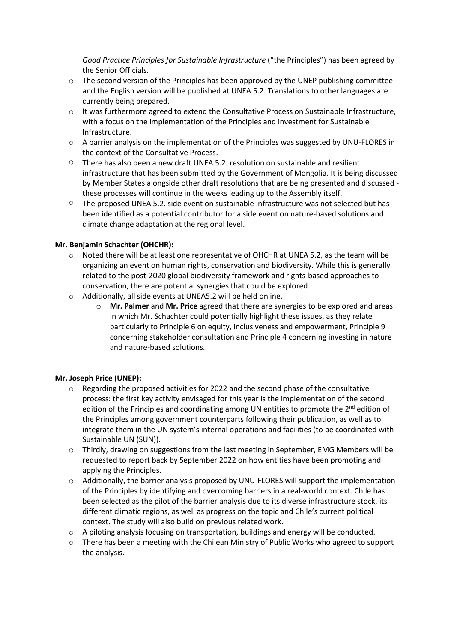*Good Practice Principles for Sustainable Infrastructure* ("the Principles") has been agreed by the Senior Officials.

- $\circ$  The second version of the Principles has been approved by the UNEP publishing committee and the English version will be published at UNEA 5.2. Translations to other languages are currently being prepared.
- $\circ$  It was furthermore agreed to extend the Consultative Process on Sustainable Infrastructure, with a focus on the implementation of the Principles and investment for Sustainable Infrastructure.
- o A barrier analysis on the implementation of the Principles was suggested by UNU-FLORES in the context of the Consultative Process.
- $\circ$  There has also been a new draft UNEA 5.2. resolution on sustainable and resilient infrastructure that has been submitted by the Government of Mongolia. It is being discussed by Member States alongside other draft resolutions that are being presented and discussed these processes will continue in the weeks leading up to the Assembly itself.
- $\circ$  The proposed UNEA 5.2. side event on sustainable infrastructure was not selected but has been identified as a potential contributor for a side event on nature-based solutions and climate change adaptation at the regional level.

## **Mr. Benjamin Schachter (OHCHR):**

- o Noted there will be at least one representative of OHCHR at UNEA 5.2, as the team will be organizing an event on human rights, conservation and biodiversity. While this is generally related to the post-2020 global biodiversity framework and rights-based approaches to conservation, there are potential synergies that could be explored.
- o Additionally, all side events at UNEA5.2 will be held online.
	- o **Mr. Palmer** and **Mr. Price** agreed that there are synergies to be explored and areas in which Mr. Schachter could potentially highlight these issues, as they relate particularly to Principle 6 on equity, inclusiveness and empowerment, Principle 9 concerning stakeholder consultation and Principle 4 concerning investing in nature and nature-based solutions.

### **Mr. Joseph Price (UNEP):**

- o Regarding the proposed activities for 2022 and the second phase of the consultative process: the first key activity envisaged for this year is the implementation of the second edition of the Principles and coordinating among UN entities to promote the  $2^{nd}$  edition of the Principles among government counterparts following their publication, as well as to integrate them in the UN system's internal operations and facilities (to be coordinated with Sustainable UN (SUN)).
- o Thirdly, drawing on suggestions from the last meeting in September, EMG Members will be requested to report back by September 2022 on how entities have been promoting and applying the Principles.
- o Additionally, the barrier analysis proposed by UNU-FLORES will support the implementation of the Principles by identifying and overcoming barriers in a real-world context. Chile has been selected as the pilot of the barrier analysis due to its diverse infrastructure stock, its different climatic regions, as well as progress on the topic and Chile's current political context. The study will also build on previous related work.
- o A piloting analysis focusing on transportation, buildings and energy will be conducted.
- $\circ$  There has been a meeting with the Chilean Ministry of Public Works who agreed to support the analysis.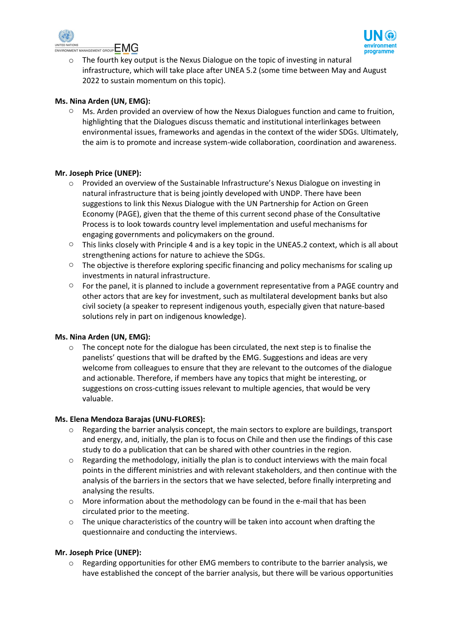



o The fourth key output is the Nexus Dialogue on the topic of investing in natural infrastructure, which will take place after UNEA 5.2 (some time between May and August 2022 to sustain momentum on this topic).

## **Ms. Nina Arden (UN, EMG):**

 $\circ$  Ms. Arden provided an overview of how the Nexus Dialogues function and came to fruition, highlighting that the Dialogues discuss thematic and institutional interlinkages between environmental issues, frameworks and agendas in the context of the wider SDGs. Ultimately, the aim is to promote and increase system-wide collaboration, coordination and awareness.

### **Mr. Joseph Price (UNEP):**

- o Provided an overview of the Sustainable Infrastructure's Nexus Dialogue on investing in natural infrastructure that is being jointly developed with UNDP. There have been suggestions to link this Nexus Dialogue with the UN Partnership for Action on Green Economy (PAGE), given that the theme of this current second phase of the Consultative Process is to look towards country level implementation and useful mechanisms for engaging governments and policymakers on the ground.
- o This links closely with Principle 4 and is a key topic in the UNEA5.2 context, which is all about strengthening actions for nature to achieve the SDGs.
- $\circ$  The objective is therefore exploring specific financing and policy mechanisms for scaling up investments in natural infrastructure.
- $\circ$  For the panel, it is planned to include a government representative from a PAGE country and other actors that are key for investment, such as multilateral development banks but also civil society (a speaker to represent indigenous youth, especially given that nature-based solutions rely in part on indigenous knowledge).

### **Ms. Nina Arden (UN, EMG):**

 $\circ$  The concept note for the dialogue has been circulated, the next step is to finalise the panelists' questions that will be drafted by the EMG. Suggestions and ideas are very welcome from colleagues to ensure that they are relevant to the outcomes of the dialogue and actionable. Therefore, if members have any topics that might be interesting, or suggestions on cross-cutting issues relevant to multiple agencies, that would be very valuable.

### **Ms. Elena Mendoza Barajas (UNU-FLORES):**

- $\circ$  Regarding the barrier analysis concept, the main sectors to explore are buildings, transport and energy, and, initially, the plan is to focus on Chile and then use the findings of this case study to do a publication that can be shared with other countries in the region.
- $\circ$  Regarding the methodology, initially the plan is to conduct interviews with the main focal points in the different ministries and with relevant stakeholders, and then continue with the analysis of the barriers in the sectors that we have selected, before finally interpreting and analysing the results.
- $\circ$  More information about the methodology can be found in the e-mail that has been circulated prior to the meeting.
- o The unique characteristics of the country will be taken into account when drafting the questionnaire and conducting the interviews.

### **Mr. Joseph Price (UNEP):**

o Regarding opportunities for other EMG members to contribute to the barrier analysis, we have established the concept of the barrier analysis, but there will be various opportunities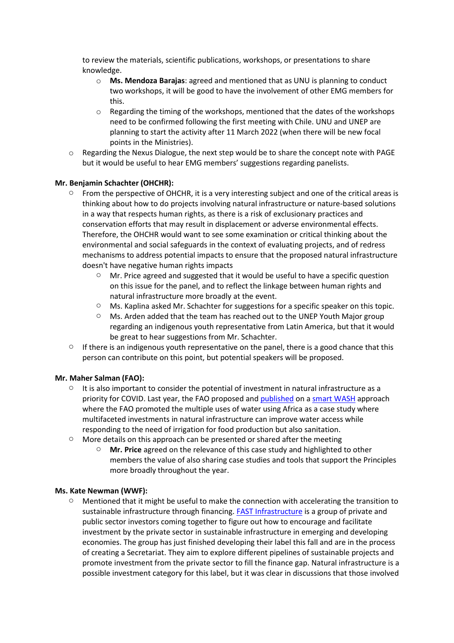to review the materials, scientific publications, workshops, or presentations to share knowledge.

- o **Ms. Mendoza Barajas**: agreed and mentioned that as UNU is planning to conduct two workshops, it will be good to have the involvement of other EMG members for this.
- $\circ$  Regarding the timing of the workshops, mentioned that the dates of the workshops need to be confirmed following the first meeting with Chile. UNU and UNEP are planning to start the activity after 11 March 2022 (when there will be new focal points in the Ministries).
- o Regarding the Nexus Dialogue, the next step would be to share the concept note with PAGE but it would be useful to hear EMG members' suggestions regarding panelists.

## **Mr. Benjamin Schachter (OHCHR):**

- $\circ$  From the perspective of OHCHR, it is a very interesting subject and one of the critical areas is thinking about how to do projects involving natural infrastructure or nature-based solutions in a way that respects human rights, as there is a risk of exclusionary practices and conservation efforts that may result in displacement or adverse environmental effects. Therefore, the OHCHR would want to see some examination or critical thinking about the environmental and social safeguards in the context of evaluating projects, and of redress mechanisms to address potential impacts to ensure that the proposed natural infrastructure doesn't have negative human rights impacts
	- $\circ$  Mr. Price agreed and suggested that it would be useful to have a specific question on this issue for the panel, and to reflect the linkage between human rights and natural infrastructure more broadly at the event.
	- $\circ$  Ms. Kaplina asked Mr. Schachter for suggestions for a specific speaker on this topic.
	- o Ms. Arden added that the team has reached out to the UNEP Youth Major group regarding an indigenous youth representative from Latin America, but that it would be great to hear suggestions from Mr. Schachter.
- $\circ$  If there is an indigenous youth representative on the panel, there is a good chance that this person can contribute on this point, but potential speakers will be proposed.

### **Mr. Maher Salman (FAO):**

- $\circ$  It is also important to consider the potential of investment in natural infrastructure as a priority for COVID. Last year, the FAO proposed and [published](https://www.fao.org/documents/card/en/c/cb1306en/) on a [smart WASH](https://www.fao.org/documents/card/en/c/cb1306en/) approach where the FAO promoted the multiple uses of water using Africa as a case study where multifaceted investments in natural infrastructure can improve water access while responding to the need of irrigation for food production but also sanitation.
- o More details on this approach can be presented or shared after the meeting
	- **Mr.** Price agreed on the relevance of this case study and highlighted to other members the value of also sharing case studies and tools that support the Principles more broadly throughout the year.

### **Ms. Kate Newman (WWF):**

 $\circ$  Mentioned that it might be useful to make the connection with accelerating the transition to sustainable infrastructure through financing. FAST [Infrastructure](https://www.climatepolicyinitiative.org/fast-infra/) is a group of private and public sector investors coming together to figure out how to encourage and facilitate investment by the private sector in sustainable infrastructure in emerging and developing economies. The group has just finished developing their label this fall and are in the process of creating a Secretariat. They aim to explore different pipelines of sustainable projects and promote investment from the private sector to fill the finance gap. Natural infrastructure is a possible investment category for this label, but it was clear in discussions that those involved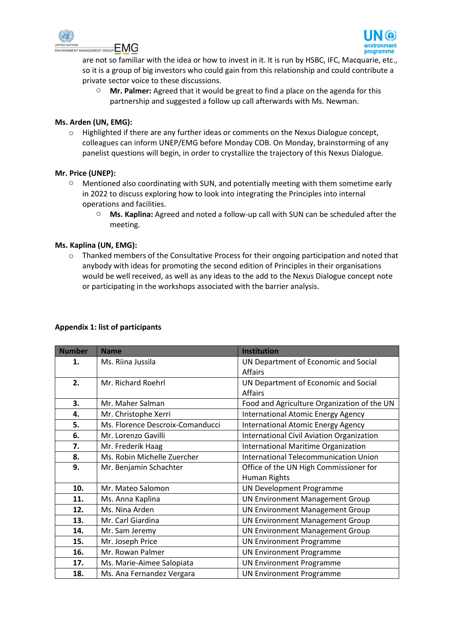



are not so familiar with the idea or how to invest in it. It is run by HSBC, IFC, Macquarie, etc., so it is a group of big investors who could gain from this relationship and could contribute a private sector voice to these discussions.

o **Mr. Palmer:** Agreed that it would be great to find a place on the agenda for this partnership and suggested a follow up call afterwards with Ms. Newman.

### **Ms. Arden (UN, EMG):**

o Highlighted if there are any further ideas or comments on the Nexus Dialogue concept, colleagues can inform UNEP/EMG before Monday COB. On Monday, brainstorming of any panelist questions will begin, in order to crystallize the trajectory of this Nexus Dialogue.

## **Mr. Price (UNEP):**

- $\circ$  Mentioned also coordinating with SUN, and potentially meeting with them sometime early in 2022 to discuss exploring how to look into integrating the Principles into internal operations and facilities.
	- o **Ms. Kaplina:** Agreed and noted a follow-up call with SUN can be scheduled after the meeting.

## **Ms. Kaplina (UN, EMG):**

o Thanked members of the Consultative Process for their ongoing participation and noted that anybody with ideas for promoting the second edition of Principles in their organisations would be well received, as well as any ideas to the add to the Nexus Dialogue concept note or participating in the workshops associated with the barrier analysis.

| <b>Number</b> | <b>Name</b>                      | <b>Institution</b>                          |
|---------------|----------------------------------|---------------------------------------------|
| 1.            | Ms. Riina Jussila                | UN Department of Economic and Social        |
|               |                                  | <b>Affairs</b>                              |
| 2.            | Mr. Richard Roehrl               | UN Department of Economic and Social        |
|               |                                  | <b>Affairs</b>                              |
| 3.            | Mr. Maher Salman                 | Food and Agriculture Organization of the UN |
| 4.            | Mr. Christophe Xerri             | <b>International Atomic Energy Agency</b>   |
| 5.            | Ms. Florence Descroix-Comanducci | <b>International Atomic Energy Agency</b>   |
| 6.            | Mr. Lorenzo Gavilli              | International Civil Aviation Organization   |
| 7.            | Mr. Frederik Haag                | <b>International Maritime Organization</b>  |
| 8.            | Ms. Robin Michelle Zuercher      | International Telecommunication Union       |
| 9.            | Mr. Benjamin Schachter           | Office of the UN High Commissioner for      |
|               |                                  | Human Rights                                |
| 10.           | Mr. Mateo Salomon                | UN Development Programme                    |
| 11.           | Ms. Anna Kaplina                 | <b>UN Environment Management Group</b>      |
| 12.           | Ms. Nina Arden                   | <b>UN Environment Management Group</b>      |
| 13.           | Mr. Carl Giardina                | <b>UN Environment Management Group</b>      |
| 14.           | Mr. Sam Jeremy                   | <b>UN Environment Management Group</b>      |
| 15.           | Mr. Joseph Price                 | <b>UN Environment Programme</b>             |
| 16.           | Mr. Rowan Palmer                 | <b>UN Environment Programme</b>             |
| 17.           | Ms. Marie-Aimee Salopiata        | <b>UN Environment Programme</b>             |
| 18.           | Ms. Ana Fernandez Vergara        | <b>UN Environment Programme</b>             |

# **Appendix 1: list of participants**